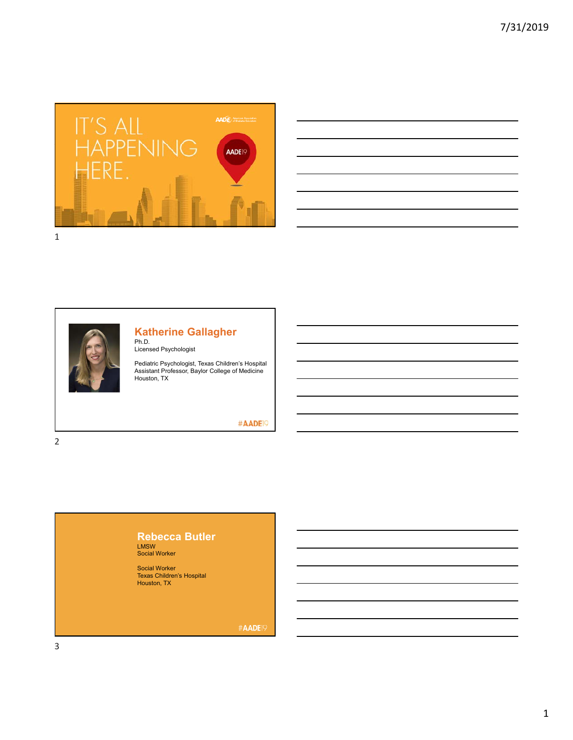

| the control of the control of the control of the control of the control of the control of the control of the control of the control of the control of the control of the control of the control of the control of the control |  |  |  |
|-------------------------------------------------------------------------------------------------------------------------------------------------------------------------------------------------------------------------------|--|--|--|
|                                                                                                                                                                                                                               |  |  |  |
| <u> 1989 - Andrea Andrew Maria (h. 1989).</u>                                                                                                                                                                                 |  |  |  |
| and the control of the control of the control of the control of the control of the control of the control of the                                                                                                              |  |  |  |
|                                                                                                                                                                                                                               |  |  |  |
| and the control of the control of the control of the control of the control of the control of the control of the                                                                                                              |  |  |  |
|                                                                                                                                                                                                                               |  |  |  |
| <u> 1989 - Andrea Andrew Maria (h. 1989).</u>                                                                                                                                                                                 |  |  |  |



## **Katherine Gallagher**

Ph.D. Licensed Psychologist

Pediatric Psychologist, Texas Children's Hospital Assistant Professor, Baylor College of Medicine Houston, TX

#AADE<sup>19</sup>

2

# **Rebecca Butler**

LMSW Social Worker

Social Worker Texas Children's Hospital Houston, TX

#AADE<sup>19</sup>

3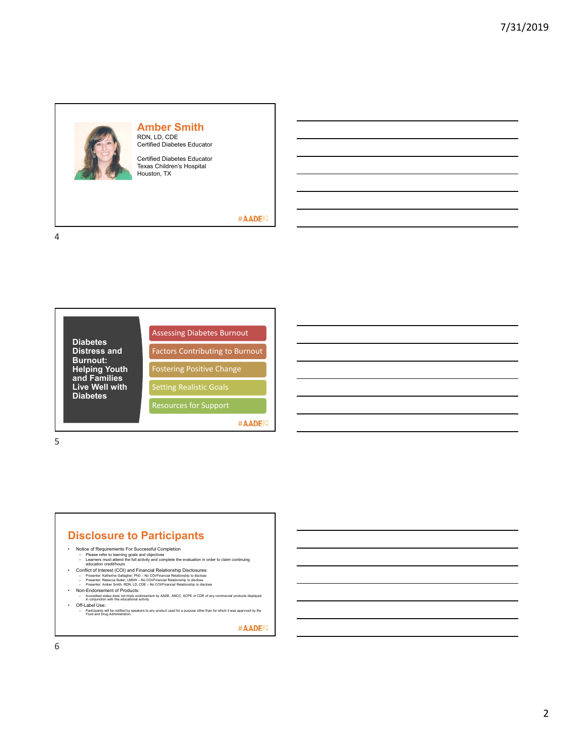

## **Amber Smith** RDN, LD, CDE Certified Diabetes Educator

Certified Diabetes Educator Texas Children's Hospital Houston, TX

#### #AADE<sup>19</sup>

4



5

### **Disclosure to Participants**

- 
- Notice of Requirements For Successful Completion<br>– Please refer to learning goals and objectives<br>– Learners must attend the full activity and complete the evaluation in order to claim continuing<br>– education credit/hours
	-
	-
- Conflict of Interest (COI) and Financial Relationship Disclosures:<br>- Presenter: Katherine Gallagher, PhD No COI/Financial Relationship to disclose<br>- Presenter: Rebecca Butler, LMSW No COI/Financial Relationship to d
- Non-Endorsement of Products:
- Accredited status does not imply endorsement by AADE, ANCC, ACPE or CDR of any commercial products displayed in conjunction with this educational activity
- Off-Label Use:
	- Participants will be notified by speakers to any product used for a purpose other than for which it was approved by the Food and Drug Administration.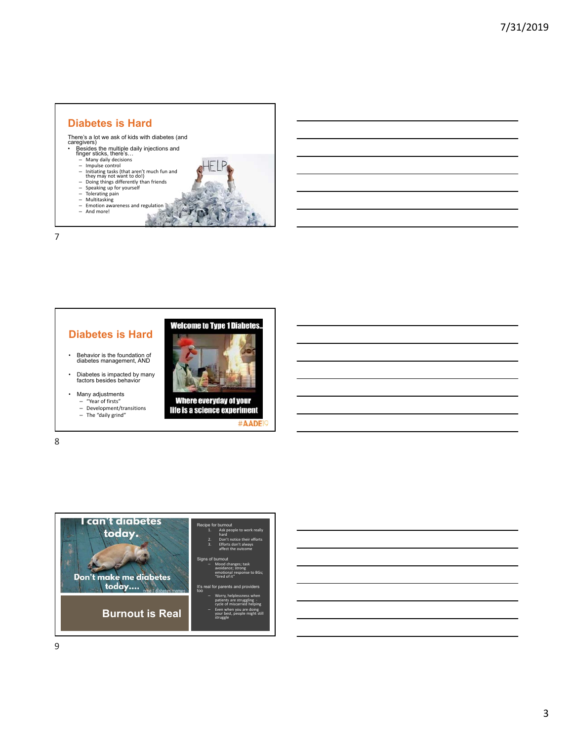

7

### **Diabetes is Hard**

- Behavior is the foundation of diabetes management, AND
- Diabetes is impacted by many factors besides behavior
- Many adjustments
	-
	- "Year of firsts" Development/transitions The "daily grind"



**Welcome to Type 1 Diabetes.** 

life is a science experiment #AADE

8



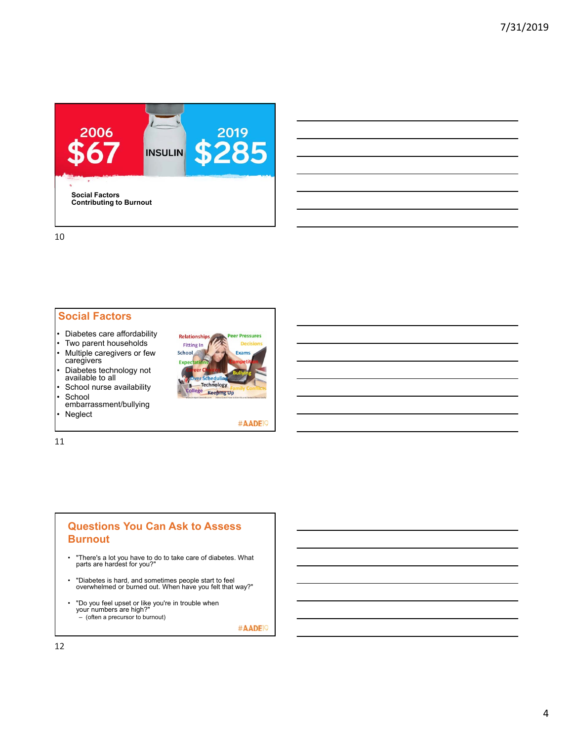

10

#### **Social Factors**

- Diabetes care affordability
- Two parent households • Multiple caregivers or few caregivers
- Diabetes technology not available to all



embarrassment/bullying **Neglect** 



#AADE<sup>19</sup>

11

## **Questions You Can Ask to Assess Burnout**

- "There's a lot you have to do to take care of diabetes. What parts are hardest for you?"
- "Diabetes is hard, and sometimes people start to feel overwhelmed or burned out. When have you felt that way?"
- "Do you feel upset or like you're in trouble when your numbers are high?"  $\sim$  (often a precursor to burnout)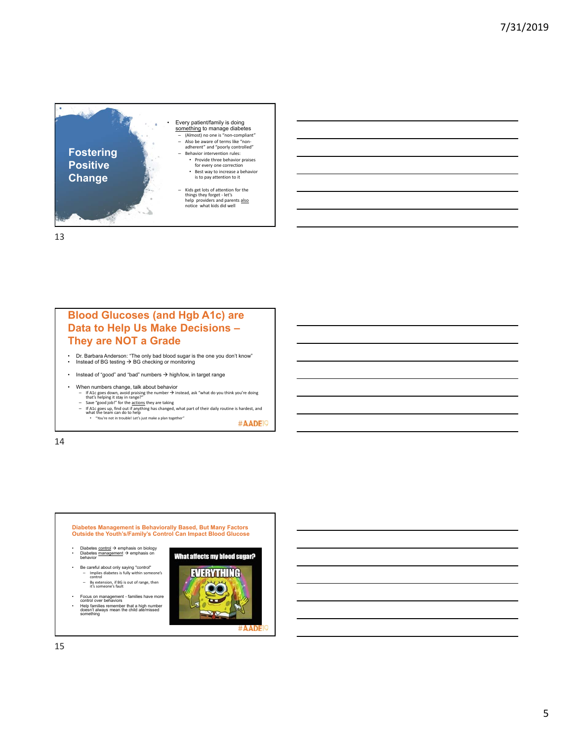

13

# **Blood Glucoses (and Hgb A1c) are Data to Help Us Make Decisions – They are NOT a Grade**

- Dr. Barbara Anderson: "The only bad blood sugar is the one you don't know"<br>• Instead of BG testing → BG checking or monitoring
- Instead of "good" and "bad" numbers  $\rightarrow$  high/low, in target range
- When numbers change, talk about behavior
	-
	- If A1c goes down, avoid praising the number → instead, ask "what do you think you're doing<br>that's helping it stay in range?"<br> $\sim$  Save "good job!" for the <u>actions</u> they are taking<br> $\sim$  Save "good job!" for the actions

#AADE<sup>19</sup>

14

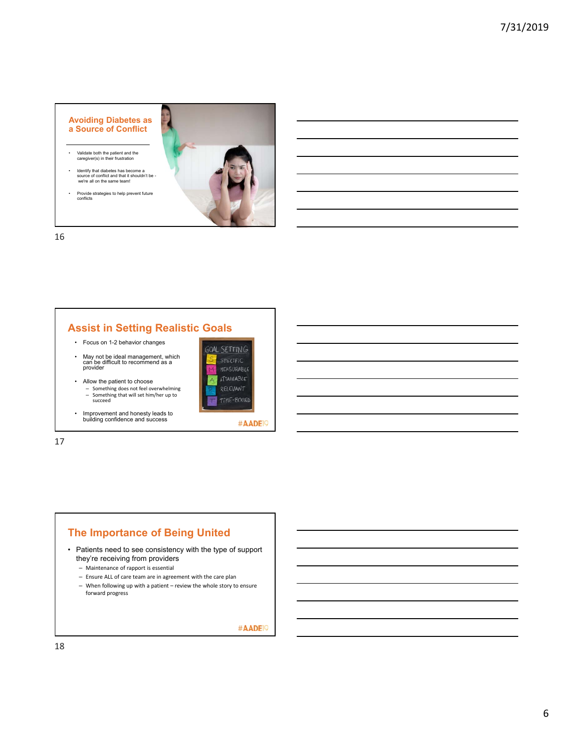#### **Avoiding Diabetes as a Source of Conflict**

- Validate both the patient and the caregiver(s) in their frustration
- Identify that diabetes has become a source of conflict and that it shouldn't be we're all on the same team!
- Provide strategies to help prevent future conflicts



16

## **Assist in Setting Realistic Goals**

- Focus on 1-2 behavior changes
- May not be ideal management, which can be difficult to recommend as a provider
- Allow the patient to choose – Something does not feel overwhelming
	- Something that will set him/her up to succeed
- Improvement and honesty leads to building confidence and success



17

## **The Importance of Being United**

- Patients need to see consistency with the type of support they're receiving from providers
	- Maintenance of rapport is essential
	- Ensure ALL of care team are in agreement with the care plan
	- When following up with a patient review the whole story to ensure forward progress